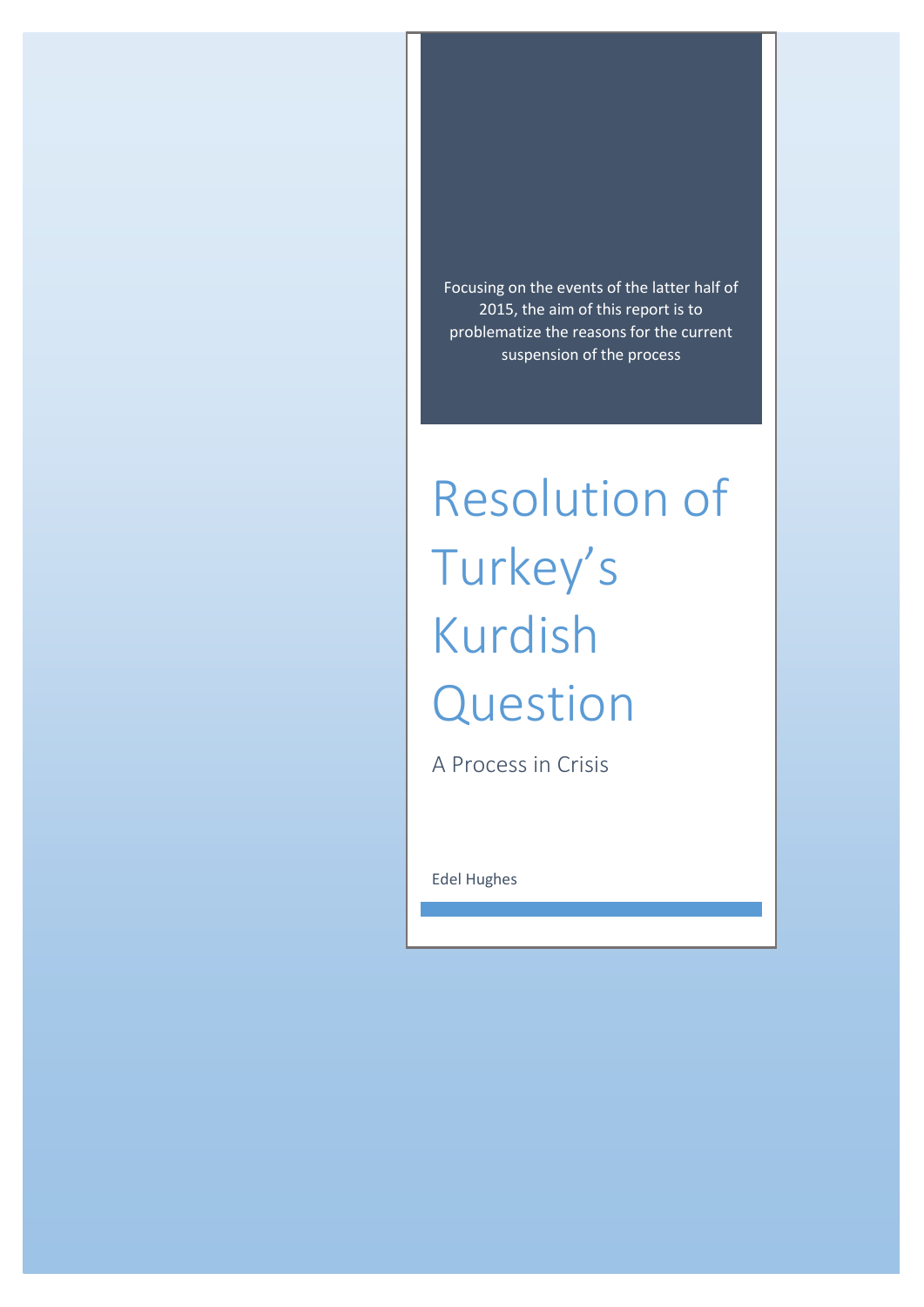Focusing on the events of the latter half of 2015, the aim of this report is to problematize the reasons for the current suspension of the process

# Resolution of Turkey's Kurdish Question

A Process in Crisis

Edel Hughes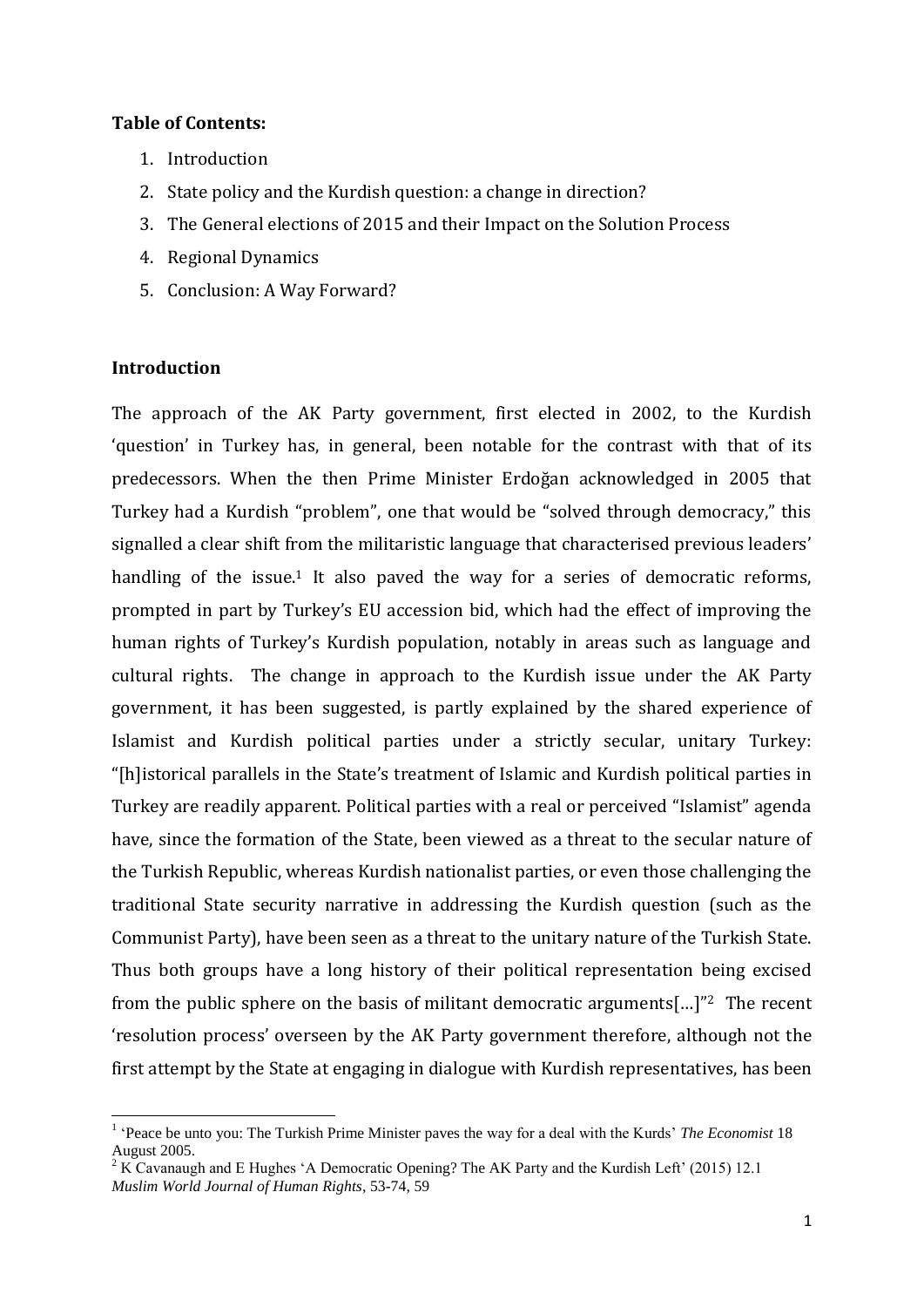## **Table of Contents:**

- 1. Introduction
- 2. State policy and the Kurdish question: a change in direction?
- 3. The General elections of 2015 and their Impact on the Solution Process
- 4. Regional Dynamics
- 5. Conclusion: A Way Forward?

## **Introduction**

**.** 

The approach of the AK Party government, first elected in 2002, to the Kurdish 'question' in Turkey has, in general, been notable for the contrast with that of its predecessors. When the then Prime Minister Erdoğan acknowledged in 2005 that Turkey had a Kurdish "problem", one that would be "solved through democracy," this signalled a clear shift from the militaristic language that characterised previous leaders' handling of the issue.<sup>1</sup> It also paved the way for a series of democratic reforms, prompted in part by Turkey's EU accession bid, which had the effect of improving the human rights of Turkey's Kurdish population, notably in areas such as language and cultural rights. The change in approach to the Kurdish issue under the AK Party government, it has been suggested, is partly explained by the shared experience of Islamist and Kurdish political parties under a strictly secular, unitary Turkey: "[h]istorical parallels in the State's treatment of Islamic and Kurdish political parties in Turkey are readily apparent. Political parties with a real or perceived "Islamist" agenda have, since the formation of the State, been viewed as a threat to the secular nature of the Turkish Republic, whereas Kurdish nationalist parties, or even those challenging the traditional State security narrative in addressing the Kurdish question (such as the Communist Party), have been seen as a threat to the unitary nature of the Turkish State. Thus both groups have a long history of their political representation being excised from the public sphere on the basis of militant democratic arguments[…]"2 The recent 'resolution process' overseen by the AK Party government therefore, although not the first attempt by the State at engaging in dialogue with Kurdish representatives, has been

<sup>&</sup>lt;sup>1</sup> 'Peace be unto you: The Turkish Prime Minister paves the way for a deal with the Kurds' *The Economist* 18 August 2005.

<sup>&</sup>lt;sup>2</sup> K Cavanaugh and E Hughes 'A Democratic Opening? The AK Party and the Kurdish Left' (2015) 12.1 *Muslim World Journal of Human Rights*, 53-74, 59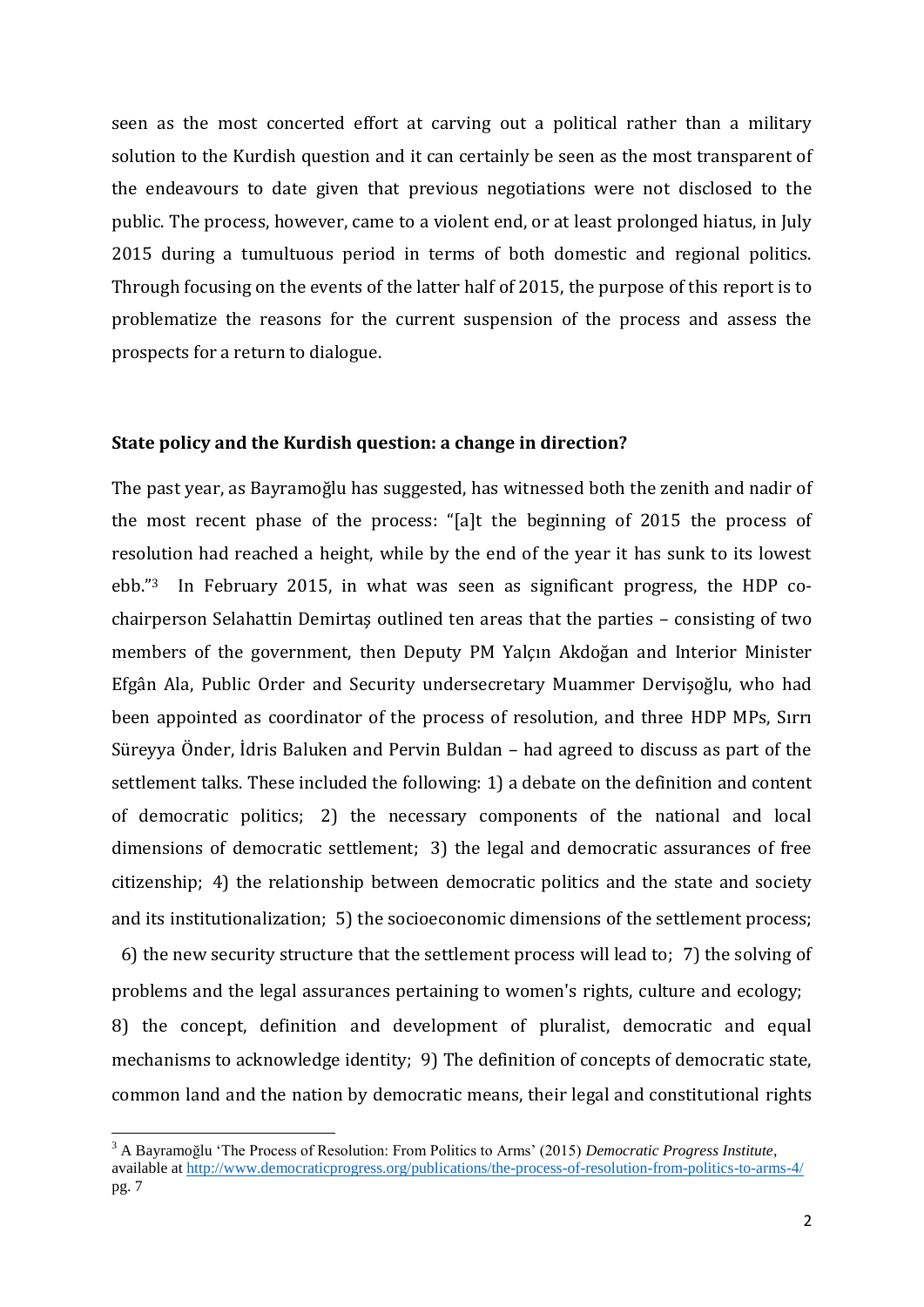seen as the most concerted effort at carving out a political rather than a military solution to the Kurdish question and it can certainly be seen as the most transparent of the endeavours to date given that previous negotiations were not disclosed to the public. The process, however, came to a violent end, or at least prolonged hiatus, in July 2015 during a tumultuous period in terms of both domestic and regional politics. Through focusing on the events of the latter half of 2015, the purpose of this report is to problematize the reasons for the current suspension of the process and assess the prospects for a return to dialogue.

#### **State policy and the Kurdish question: a change in direction?**

The past year, as Bayramoğlu has suggested, has witnessed both the zenith and nadir of the most recent phase of the process: "[a]t the beginning of 2015 the process of resolution had reached a height, while by the end of the year it has sunk to its lowest ebb."3 In February 2015, in what was seen as significant progress, the HDP cochairperson Selahattin Demirtaş outlined ten areas that the parties – consisting of two members of the government, then Deputy PM Yalçın Akdoğan and Interior Minister Efgân Ala, Public Order and Security undersecretary Muammer Dervişoğlu, who had been appointed as coordinator of the process of resolution, and three HDP MPs, Sırrı Süreyya Önder, İdris Baluken and Pervin Buldan – had agreed to discuss as part of the settlement talks. These included the following: 1) a debate on the definition and content of democratic politics; 2) the necessary components of the national and local dimensions of democratic settlement; 3) the legal and democratic assurances of free citizenship; 4) the relationship between democratic politics and the state and society and its institutionalization; 5) the socioeconomic dimensions of the settlement process; 6) the new security structure that the settlement process will lead to; 7) the solving of

problems and the legal assurances pertaining to women's rights, culture and ecology; 8) the concept, definition and development of pluralist, democratic and equal mechanisms to acknowledge identity; 9) The definition of concepts of democratic state, common land and the nation by democratic means, their legal and constitutional rights

1

<sup>3</sup> A Bayramoğlu 'The Process of Resolution: From Politics to Arms' (2015) *Democratic Progress Institute*, available at <http://www.democraticprogress.org/publications/the-process-of-resolution-from-politics-to-arms-4/> pg. 7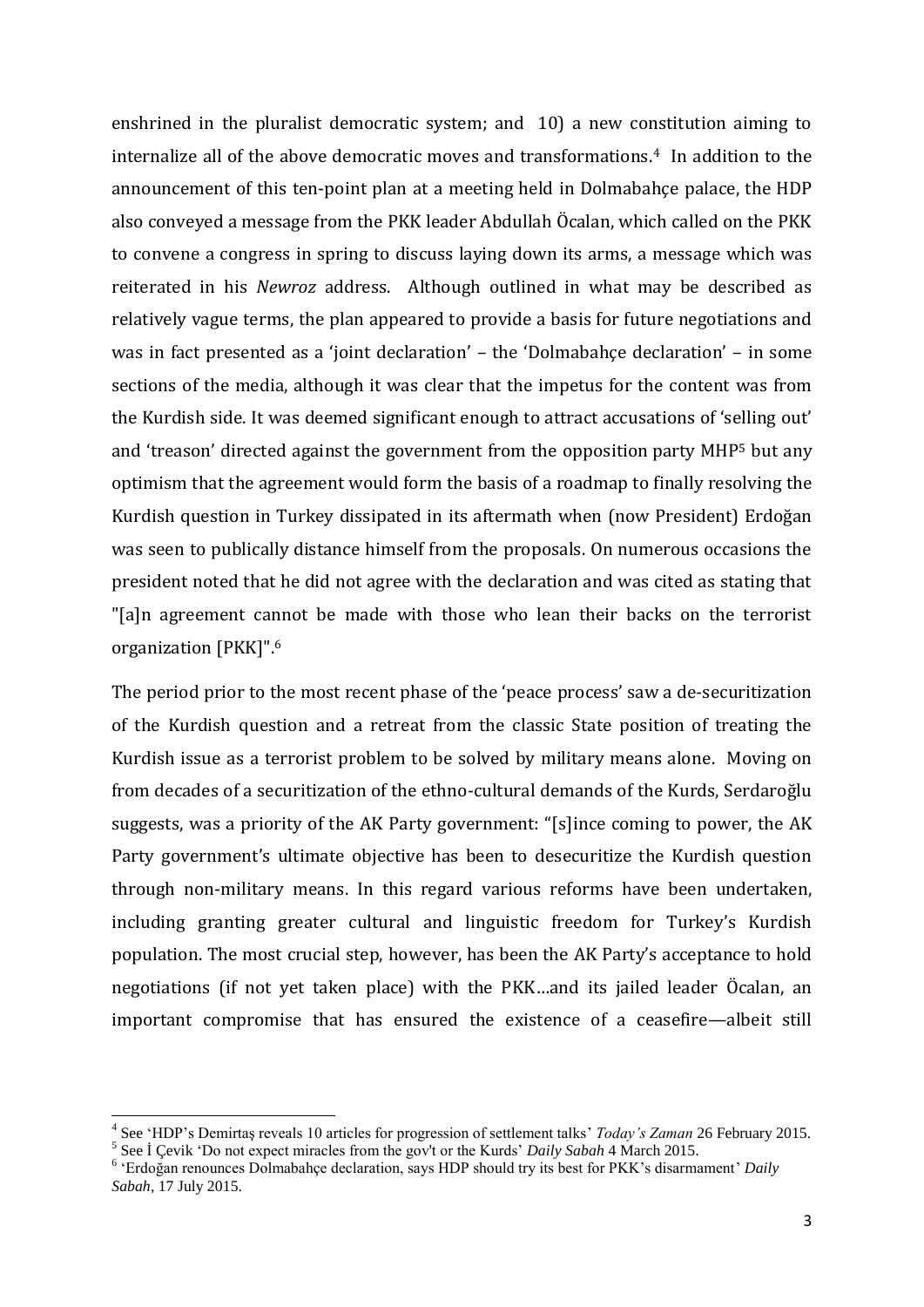enshrined in the pluralist democratic system; and 10) a new constitution aiming to internalize all of the above democratic moves and transformations.4 In addition to the announcement of this ten-point plan at a meeting held in Dolmabahçe palace, the HDP also conveyed a message from the PKK leader Abdullah Öcalan, which called on the PKK to convene a congress in spring to discuss laying down its arms, a message which was reiterated in his *Newroz* address. Although outlined in what may be described as relatively vague terms, the plan appeared to provide a basis for future negotiations and was in fact presented as a 'joint declaration' – the 'Dolmabahçe declaration' – in some sections of the media, although it was clear that the impetus for the content was from the Kurdish side. It was deemed significant enough to attract accusations of 'selling out' and 'treason' directed against the government from the opposition party MHP<sup>5</sup> but any optimism that the agreement would form the basis of a roadmap to finally resolving the Kurdish question in Turkey dissipated in its aftermath when (now President) Erdoğan was seen to publically distance himself from the proposals. On numerous occasions the president noted that he did not agree with the declaration and was cited as stating that "[a]n agreement cannot be made with those who lean their backs on the terrorist organization [PKK]". 6

The period prior to the most recent phase of the 'peace process' saw a de-securitization of the Kurdish question and a retreat from the classic State position of treating the Kurdish issue as a terrorist problem to be solved by military means alone. Moving on from decades of a securitization of the ethno-cultural demands of the Kurds, Serdaroğlu suggests, was a priority of the AK Party government: "[s]ince coming to power, the AK Party government's ultimate objective has been to desecuritize the Kurdish question through non-military means. In this regard various reforms have been undertaken, including granting greater cultural and linguistic freedom for Turkey's Kurdish population. The most crucial step, however, has been the AK Party's acceptance to hold negotiations (if not yet taken place) with the PKK…and its jailed leader Öcalan, an important compromise that has ensured the existence of a ceasefire—albeit still

**.** 

<sup>4</sup> See 'HDP's Demirtaş reveals 10 articles for progression of settlement talks' *Today's Zaman* 26 February 2015. 5 See İ Çevik 'Do not expect miracles from the gov't or the Kurds' *Daily Sabah* 4 March 2015.

<sup>6</sup> 'Erdoğan renounces Dolmabahçe declaration, says HDP should try its best for PKK's disarmament' *Daily Sabah*, 17 July 2015.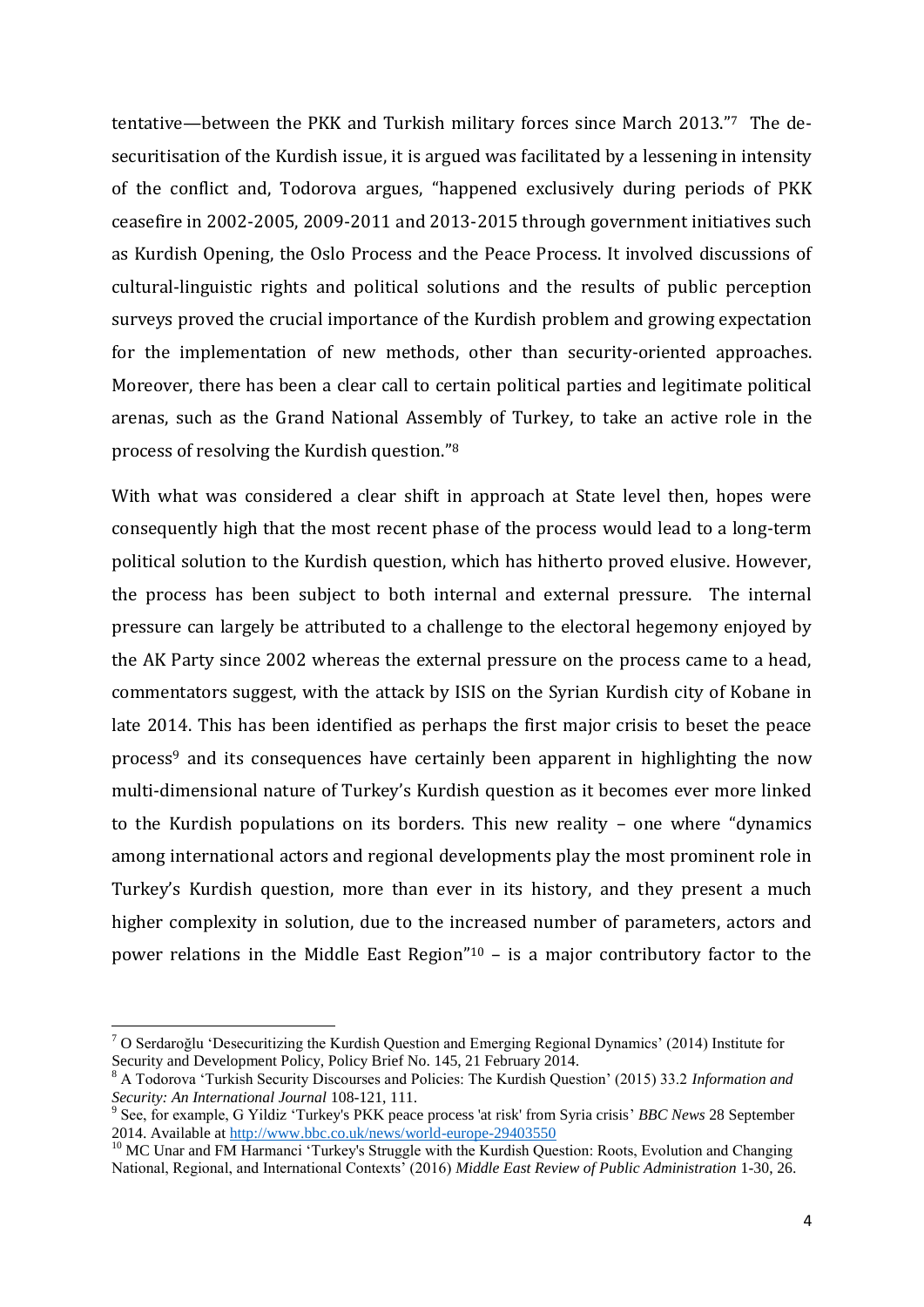tentative—between the PKK and Turkish military forces since March 2013."<sup>7</sup> The desecuritisation of the Kurdish issue, it is argued was facilitated by a lessening in intensity of the conflict and, Todorova argues, "happened exclusively during periods of PKK ceasefire in 2002-2005, 2009-2011 and 2013-2015 through government initiatives such as Kurdish Opening, the Oslo Process and the Peace Process. It involved discussions of cultural-linguistic rights and political solutions and the results of public perception surveys proved the crucial importance of the Kurdish problem and growing expectation for the implementation of new methods, other than security-oriented approaches. Moreover, there has been a clear call to certain political parties and legitimate political arenas, such as the Grand National Assembly of Turkey, to take an active role in the process of resolving the Kurdish question."<sup>8</sup>

With what was considered a clear shift in approach at State level then, hopes were consequently high that the most recent phase of the process would lead to a long-term political solution to the Kurdish question, which has hitherto proved elusive. However, the process has been subject to both internal and external pressure. The internal pressure can largely be attributed to a challenge to the electoral hegemony enjoyed by the AK Party since 2002 whereas the external pressure on the process came to a head, commentators suggest, with the attack by ISIS on the Syrian Kurdish city of Kobane in late 2014. This has been identified as perhaps the first major crisis to beset the peace process<sup>9</sup> and its consequences have certainly been apparent in highlighting the now multi-dimensional nature of Turkey's Kurdish question as it becomes ever more linked to the Kurdish populations on its borders. This new reality – one where "dynamics among international actors and regional developments play the most prominent role in Turkey's Kurdish question, more than ever in its history, and they present a much higher complexity in solution, due to the increased number of parameters, actors and power relations in the Middle East Region"<sup>10</sup> – is a major contributory factor to the

 $\overline{a}$ 

<sup>7</sup> O Serdaroğlu 'Desecuritizing the Kurdish Question and Emerging Regional Dynamics' (2014) Institute for Security and Development Policy, Policy Brief No. 145, 21 February 2014.

<sup>8</sup> A Todorova 'Turkish Security Discourses and Policies: The Kurdish Question' (2015) 33.2 *Information and Security: An International Journal* 108-121, 111.

<sup>9</sup> See, for example, G Yildiz 'Turkey's PKK peace process 'at risk' from Syria crisis' *BBC News* 28 September 2014. Available at<http://www.bbc.co.uk/news/world-europe-29403550>

<sup>&</sup>lt;sup>10</sup> MC Unar and FM Harmanci 'Turkey's Struggle with the Kurdish Question: Roots, Evolution and Changing National, Regional, and International Contexts' (2016) *Middle East Review of Public Administration* 1-30, 26.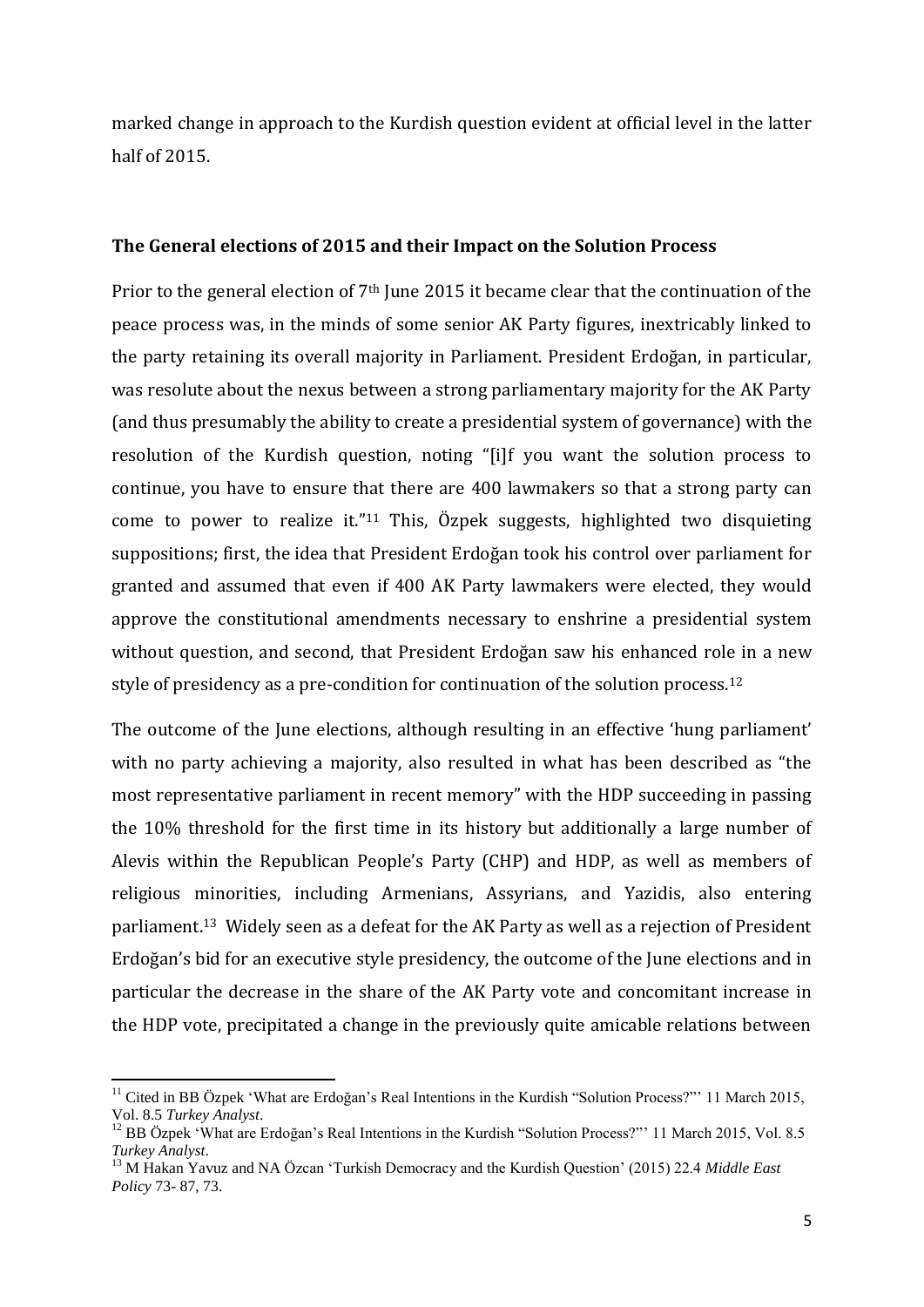marked change in approach to the Kurdish question evident at official level in the latter half of 2015.

### **The General elections of 2015 and their Impact on the Solution Process**

Prior to the general election of 7<sup>th</sup> June 2015 it became clear that the continuation of the peace process was, in the minds of some senior AK Party figures, inextricably linked to the party retaining its overall majority in Parliament. President Erdoğan, in particular, was resolute about the nexus between a strong parliamentary majority for the AK Party (and thus presumably the ability to create a presidential system of governance) with the resolution of the Kurdish question, noting "[i]f you want the solution process to continue, you have to ensure that there are 400 lawmakers so that a strong party can come to power to realize it."<sup>11</sup> This, Özpek suggests, highlighted two disquieting suppositions; first, the idea that President Erdoğan took his control over parliament for granted and assumed that even if 400 AK Party lawmakers were elected, they would approve the constitutional amendments necessary to enshrine a presidential system without question, and second, that President Erdoğan saw his enhanced role in a new style of presidency as a pre-condition for continuation of the solution process.<sup>12</sup>

The outcome of the June elections, although resulting in an effective 'hung parliament' with no party achieving a majority, also resulted in what has been described as "the most representative parliament in recent memory" with the HDP succeeding in passing the 10% threshold for the first time in its history but additionally a large number of Alevis within the Republican People's Party (CHP) and HDP, as well as members of religious minorities, including Armenians, Assyrians, and Yazidis, also entering parliament.<sup>13</sup> Widely seen as a defeat for the AK Party as well as a rejection of President Erdoğan's bid for an executive style presidency, the outcome of the June elections and in particular the decrease in the share of the AK Party vote and concomitant increase in the HDP vote, precipitated a change in the previously quite amicable relations between

1

<sup>&</sup>lt;sup>11</sup> Cited in BB Özpek 'What are Erdoğan's Real Intentions in the Kurdish "Solution Process?"' 11 March 2015, Vol. 8.5 *Turkey Analyst*.

<sup>&</sup>lt;sup>12</sup> BB Özpek 'What are Erdoğan's Real Intentions in the Kurdish "Solution Process?"' 11 March 2015, Vol. 8.5 *Turkey Analyst*.

<sup>13</sup> M Hakan Yavuz and NA Özcan 'Turkish Democracy and the Kurdish Question' (2015) 22.4 *Middle East Policy* 73- 87, 73.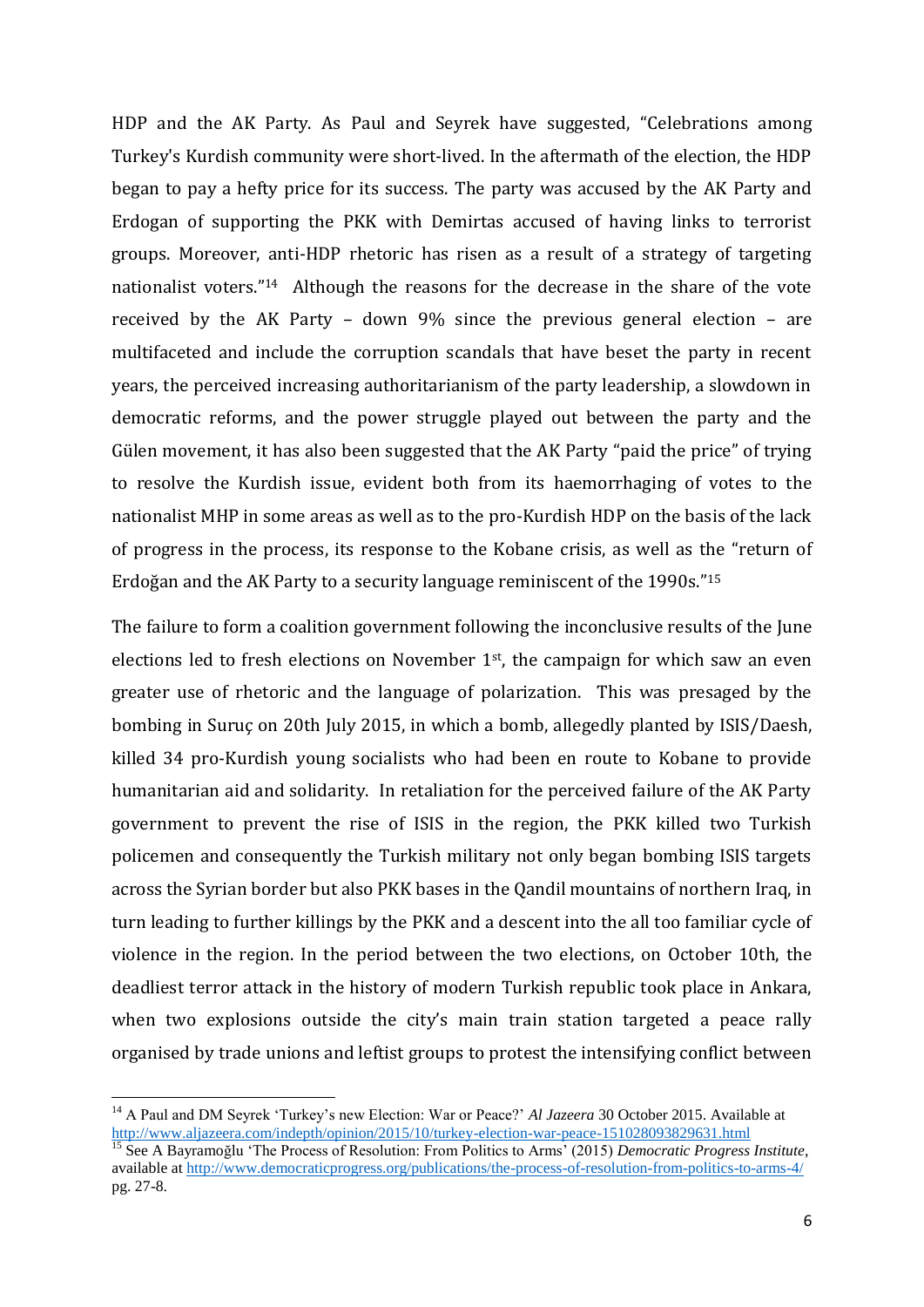HDP and the AK Party. As Paul and Seyrek have suggested, "Celebrations among Turkey's Kurdish community were short-lived. In the aftermath of the election, the HDP began to pay a hefty price for its success. The party was accused by the AK Party and Erdogan of supporting the PKK with Demirtas accused of having links to terrorist groups. Moreover, anti-HDP rhetoric has risen as a result of a strategy of targeting nationalist voters."<sup>14</sup> Although the reasons for the decrease in the share of the vote received by the AK Party – down 9% since the previous general election – are multifaceted and include the corruption scandals that have beset the party in recent years, the perceived increasing authoritarianism of the party leadership, a slowdown in democratic reforms, and the power struggle played out between the party and the Gülen movement, it has also been suggested that the AK Party "paid the price" of trying to resolve the Kurdish issue, evident both from its haemorrhaging of votes to the nationalist MHP in some areas as well as to the pro-Kurdish HDP on the basis of the lack of progress in the process, its response to the Kobane crisis, as well as the "return of Erdoğan and the AK Party to a security language reminiscent of the 1990s." 15

The failure to form a coalition government following the inconclusive results of the June elections led to fresh elections on November  $1<sup>st</sup>$ , the campaign for which saw an even greater use of rhetoric and the language of polarization. This was presaged by the bombing in Suruç on 20th July 2015, in which a bomb, allegedly planted by ISIS/Daesh, killed 34 pro-Kurdish young socialists who had been en route to Kobane to provide humanitarian aid and solidarity. In retaliation for the perceived failure of the AK Party government to prevent the rise of ISIS in the region, the PKK killed two Turkish policemen and consequently the Turkish military not only began bombing ISIS targets across the Syrian border but also PKK bases in the Qandil mountains of northern Iraq, in turn leading to further killings by the PKK and a descent into the all too familiar cycle of violence in the region. In the period between the two elections, on October 10th, the deadliest terror attack in the history of modern Turkish republic took place in Ankara, when two explosions outside the city's main train station targeted a peace rally organised by trade unions and leftist groups to protest the intensifying conflict between

**.** 

<sup>&</sup>lt;sup>14</sup> A Paul and DM Seyrek 'Turkey's new Election: War or Peace?' *Al Jazeera* 30 October 2015. Available at <http://www.aljazeera.com/indepth/opinion/2015/10/turkey-election-war-peace-151028093829631.html>

<sup>15</sup> See A Bayramoğlu 'The Process of Resolution: From Politics to Arms' (2015) *Democratic Progress Institute*, available at <http://www.democraticprogress.org/publications/the-process-of-resolution-from-politics-to-arms-4/> pg. 27-8.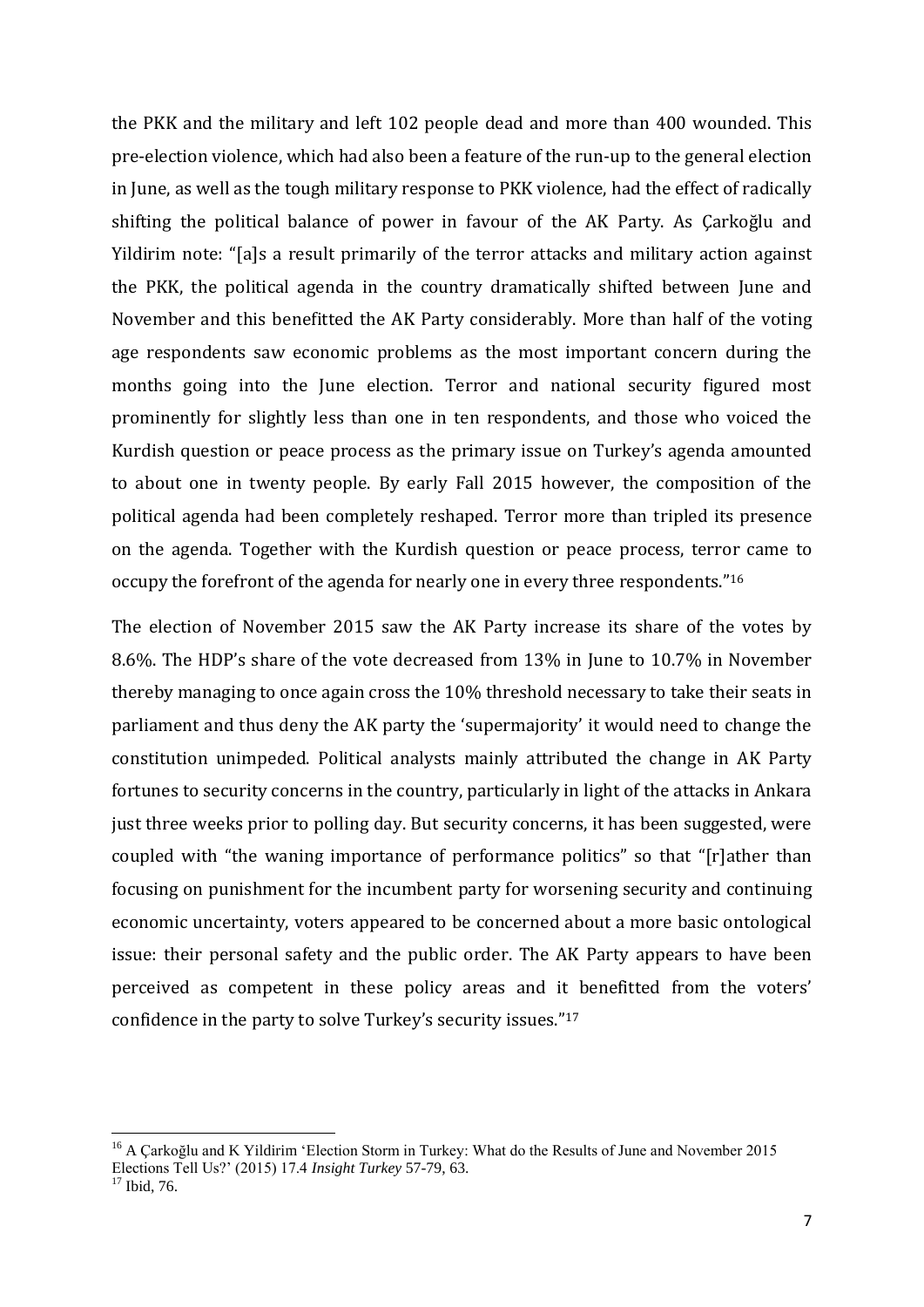the PKK and the military and left 102 people dead and more than 400 wounded. This pre-election violence, which had also been a feature of the run-up to the general election in June, as well as the tough military response to PKK violence, had the effect of radically shifting the political balance of power in favour of the AK Party. As Çarkoğlu and Yildirim note: "[a]s a result primarily of the terror attacks and military action against the PKK, the political agenda in the country dramatically shifted between June and November and this benefitted the AK Party considerably. More than half of the voting age respondents saw economic problems as the most important concern during the months going into the June election. Terror and national security figured most prominently for slightly less than one in ten respondents, and those who voiced the Kurdish question or peace process as the primary issue on Turkey's agenda amounted to about one in twenty people. By early Fall 2015 however, the composition of the political agenda had been completely reshaped. Terror more than tripled its presence on the agenda. Together with the Kurdish question or peace process, terror came to occupy the forefront of the agenda for nearly one in every three respondents."<sup>16</sup>

The election of November 2015 saw the AK Party increase its share of the votes by 8.6%. The HDP's share of the vote decreased from 13% in June to 10.7% in November thereby managing to once again cross the 10% threshold necessary to take their seats in parliament and thus deny the AK party the 'supermajority' it would need to change the constitution unimpeded. Political analysts mainly attributed the change in AK Party fortunes to security concerns in the country, particularly in light of the attacks in Ankara just three weeks prior to polling day. But security concerns, it has been suggested, were coupled with "the waning importance of performance politics" so that "[r]ather than focusing on punishment for the incumbent party for worsening security and continuing economic uncertainty, voters appeared to be concerned about a more basic ontological issue: their personal safety and the public order. The AK Party appears to have been perceived as competent in these policy areas and it benefitted from the voters' confidence in the party to solve Turkey's security issues." 17

1

<sup>&</sup>lt;sup>16</sup> A Çarkoğlu and K Yildirim 'Election Storm in Turkey: What do the Results of June and November 2015 Elections Tell Us?' (2015) 17.4 *Insight Turkey* 57-79, 63.

 $17$  Ibid, 76.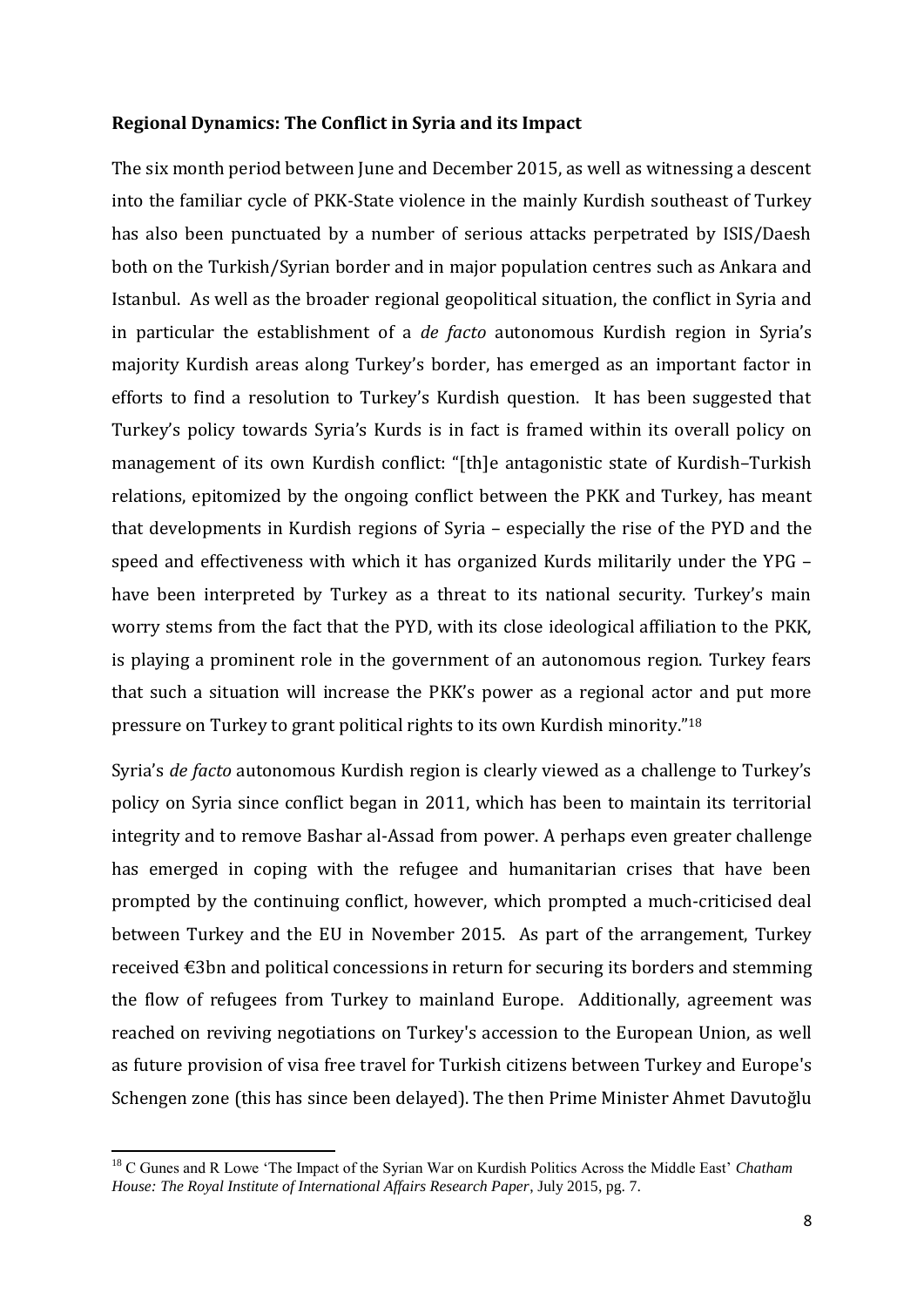## **Regional Dynamics: The Conflict in Syria and its Impact**

The six month period between June and December 2015, as well as witnessing a descent into the familiar cycle of PKK-State violence in the mainly Kurdish southeast of Turkey has also been punctuated by a number of serious attacks perpetrated by ISIS/Daesh both on the Turkish/Syrian border and in major population centres such as Ankara and Istanbul. As well as the broader regional geopolitical situation, the conflict in Syria and in particular the establishment of a *de facto* autonomous Kurdish region in Syria's majority Kurdish areas along Turkey's border, has emerged as an important factor in efforts to find a resolution to Turkey's Kurdish question. It has been suggested that Turkey's policy towards Syria's Kurds is in fact is framed within its overall policy on management of its own Kurdish conflict: "[th]e antagonistic state of Kurdish–Turkish relations, epitomized by the ongoing conflict between the PKK and Turkey, has meant that developments in Kurdish regions of Syria – especially the rise of the PYD and the speed and effectiveness with which it has organized Kurds militarily under the YPG – have been interpreted by Turkey as a threat to its national security. Turkey's main worry stems from the fact that the PYD, with its close ideological affiliation to the PKK, is playing a prominent role in the government of an autonomous region. Turkey fears that such a situation will increase the PKK's power as a regional actor and put more pressure on Turkey to grant political rights to its own Kurdish minority."<sup>18</sup>

Syria's *de facto* autonomous Kurdish region is clearly viewed as a challenge to Turkey's policy on Syria since conflict began in 2011, which has been to maintain its territorial integrity and to remove Bashar al-Assad from power. A perhaps even greater challenge has emerged in coping with the refugee and humanitarian crises that have been prompted by the continuing conflict, however, which prompted a much-criticised deal between Turkey and the EU in November 2015. As part of the arrangement, Turkey received €3bn and political concessions in return for securing its borders and stemming the flow of refugees from Turkey to mainland Europe. Additionally, agreement was reached on reviving negotiations on Turkey's accession to the European Union, as well as future provision of visa free travel for Turkish citizens between Turkey and Europe's Schengen zone (this has since been delayed). The then Prime Minister Ahmet Davutoğlu

**.** 

<sup>18</sup> C Gunes and R Lowe 'The Impact of the Syrian War on Kurdish Politics Across the Middle East' *Chatham House: The Royal Institute of International Affairs Research Paper*, July 2015, pg. 7.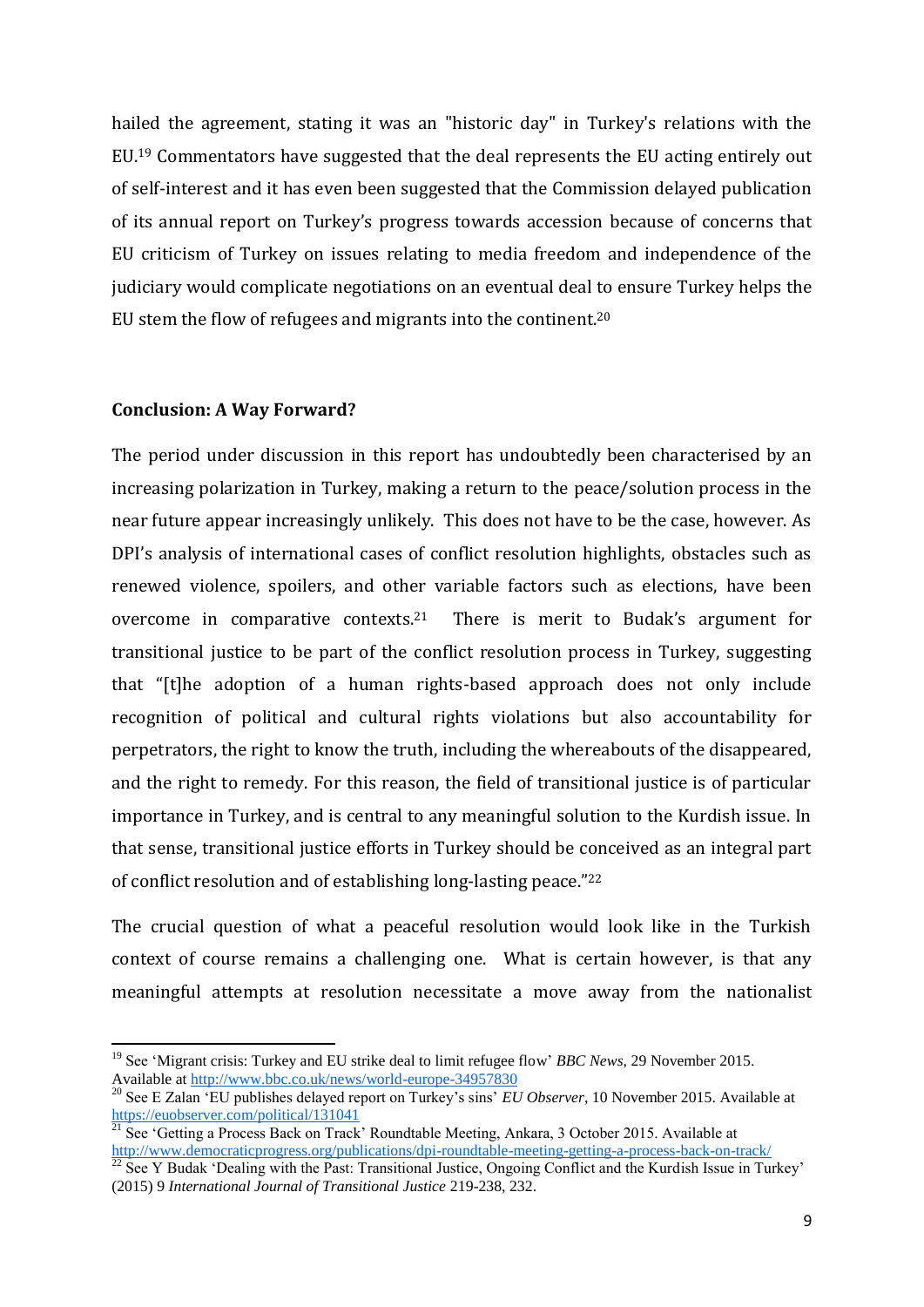hailed the agreement, stating it was an "historic day" in Turkey's relations with the EU.<sup>19</sup> Commentators have suggested that the deal represents the EU acting entirely out of self-interest and it has even been suggested that the Commission delayed publication of its annual report on Turkey's progress towards accession because of concerns that EU criticism of Turkey on issues relating to media freedom and independence of the judiciary would complicate negotiations on an eventual deal to ensure Turkey helps the EU stem the flow of refugees and migrants into the continent.<sup>20</sup>

## **Conclusion: A Way Forward?**

**.** 

The period under discussion in this report has undoubtedly been characterised by an increasing polarization in Turkey, making a return to the peace/solution process in the near future appear increasingly unlikely. This does not have to be the case, however. As DPI's analysis of international cases of conflict resolution highlights, obstacles such as renewed violence, spoilers, and other variable factors such as elections, have been overcome in comparative contexts.21 There is merit to Budak's argument for transitional justice to be part of the conflict resolution process in Turkey, suggesting that "[t]he adoption of a human rights-based approach does not only include recognition of political and cultural rights violations but also accountability for perpetrators, the right to know the truth, including the whereabouts of the disappeared, and the right to remedy. For this reason, the field of transitional justice is of particular importance in Turkey, and is central to any meaningful solution to the Kurdish issue. In that sense, transitional justice efforts in Turkey should be conceived as an integral part of conflict resolution and of establishing long-lasting peace." 22

The crucial question of what a peaceful resolution would look like in the Turkish context of course remains a challenging one. What is certain however, is that any meaningful attempts at resolution necessitate a move away from the nationalist

<sup>&</sup>lt;sup>19</sup> See 'Migrant crisis: Turkey and EU strike deal to limit refugee flow' *BBC News*, 29 November 2015. Available at<http://www.bbc.co.uk/news/world-europe-34957830>

<sup>20</sup> See E Zalan 'EU publishes delayed report on Turkey's sins' *EU Observer*, 10 November 2015. Available at <https://euobserver.com/political/131041>

 $\frac{21}{21}$  See 'Getting a Process Back on Track' Roundtable Meeting, Ankara, 3 October 2015. Available at <http://www.democraticprogress.org/publications/dpi-roundtable-meeting-getting-a-process-back-on-track/>

 $^{22}$  See Y Budak 'Dealing with the Past: Transitional Justice, Ongoing Conflict and the Kurdish Issue in Turkey' (2015) 9 *International Journal of Transitional Justice* 219-238, 232.